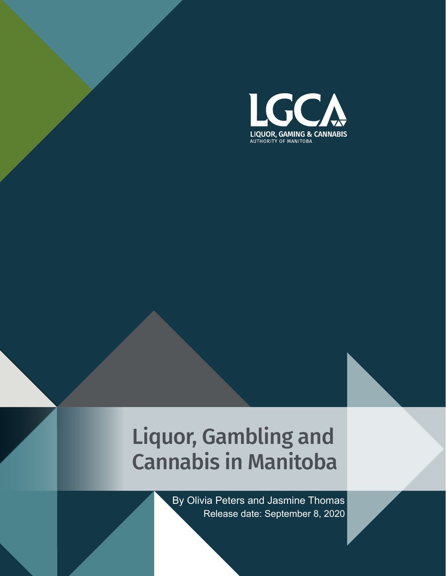

# Liquor, Gambling and Cannabis in Manitoba

 Release date: September 8, 2020 By Olivia Peters and Jasmine Thomas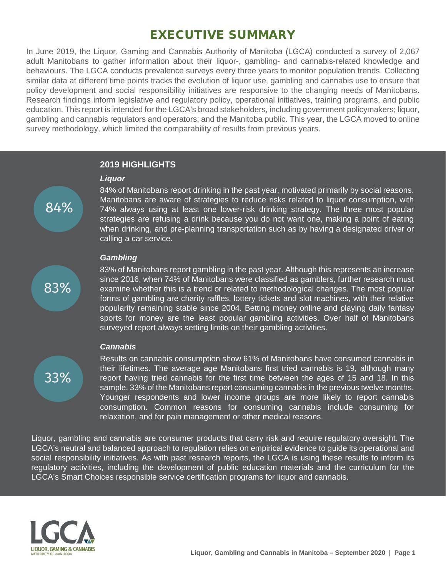# EXECUTIVE SUMMARY

In June 2019, the Liquor, Gaming and Cannabis Authority of Manitoba (LGCA) conducted a survey of 2,067 adult Manitobans to gather information about their liquor-, gambling- and cannabis-related knowledge and behaviours. The LGCA conducts prevalence surveys every three years to monitor population trends. Collecting similar data at different time points tracks the evolution of liquor use, gambling and cannabis use to ensure that policy development and social responsibility initiatives are responsive to the changing needs of Manitobans. Research findings inform legislative and regulatory policy, operational initiatives, training programs, and public education. This report is intended for the LGCA's broad stakeholders, including government policymakers; liquor, gambling and cannabis regulators and operators; and the Manitoba public. This year, the LGCA moved to online survey methodology, which limited the comparability of results from previous years.

#### **2019 HIGHLIGHTS**

#### *Liquor*

84% of Manitobans report drinking in the past year, motivated primarily by social reasons. Manitobans are aware of strategies to reduce risks related to liquor consumption, with 74% always using at least one lower-risk drinking strategy. The three most popular strategies are refusing a drink because you do not want one, making a point of eating when drinking, and pre-planning transportation such as by having a designated driver or calling a car service.

#### *Gambling*

83%

84%

83% of Manitobans report gambling in the past year. Although this represents an increase since 2016, when 74% of Manitobans were classified as gamblers, further research must examine whether this is a trend or related to methodological changes. The most popular forms of gambling are charity raffles, lottery tickets and slot machines, with their relative popularity remaining stable since 2004. Betting money online and playing daily fantasy sports for money are the least popular gambling activities. Over half of Manitobans surveyed report always setting limits on their gambling activities.

#### *Cannabis*

33%

Results on cannabis consumption show 61% of Manitobans have consumed cannabis in their lifetimes. The average age Manitobans first tried cannabis is 19, although many report having tried cannabis for the first time between the ages of 15 and 18. In this sample, 33% of the Manitobans report consuming cannabis in the previous twelve months. Younger respondents and lower income groups are more likely to report cannabis consumption. Common reasons for consuming cannabis include consuming for relaxation, and for pain management or other medical reasons.

Liquor, gambling and cannabis are consumer products that carry risk and require regulatory oversight. The LGCA's neutral and balanced approach to regulation relies on empirical evidence to guide its operational and social responsibility initiatives. As with past research reports, the LGCA is using these results to inform its regulatory activities, including the development of public education materials and the curriculum for the LGCA's Smart Choices responsible service certification programs for liquor and cannabis.

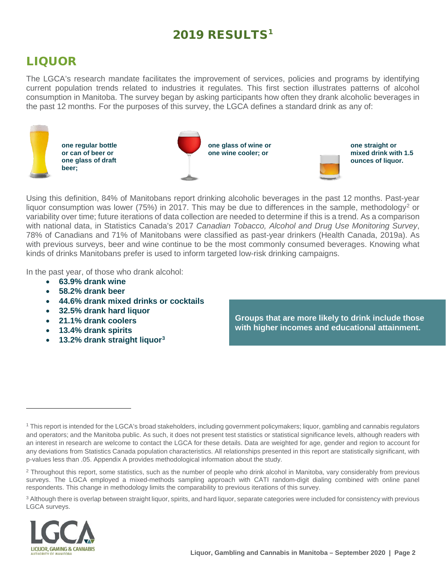# 20[1](#page-2-0)9 RESULTS<sup>1</sup>

# LIQUOR

The LGCA's research mandate facilitates the improvement of services, policies and programs by identifying current population trends related to industries it regulates. This first section illustrates patterns of alcohol consumption in Manitoba. The survey began by asking participants how often they drank alcoholic beverages in the past 12 months. For the purposes of this survey, the LGCA defines a standard drink as any of:



Using this definition, 84% of Manitobans report drinking alcoholic beverages in the past 12 months. Past-year liquor consumption was lower (75%) in [2](#page-2-1)017. This may be due to differences in the sample, methodology<sup>2</sup> or variability over time; future iterations of data collection are needed to determine if this is a trend. As a comparison with national data, in Statistics Canada's 2017 *Canadian Tobacco, Alcohol and Drug Use Monitoring Survey*, 78% of Canadians and 71% of Manitobans were classified as past-year drinkers (Health Canada, 2019a). As with previous surveys, beer and wine continue to be the most commonly consumed beverages. Knowing what kinds of drinks Manitobans prefer is used to inform targeted low-risk drinking campaigns.

In the past year, of those who drank alcohol:

- **63.9% drank wine**
- **58.2% drank beer**
- **44.6% drank mixed drinks or cocktails**
- **32.5% drank hard liquor**
- **21.1% drank coolers**
- **13.4% drank spirits**
- **13.2% drank straight liquor[3](#page-2-2)**

**Groups that are more likely to drink include those with higher incomes and educational attainment.**

<span id="page-2-2"></span><sup>&</sup>lt;sup>3</sup> Although there is overlap between straight liquor, spirits, and hard liquor, separate categories were included for consistency with previous LGCA surveys.



<span id="page-2-0"></span><sup>1</sup> This report is intended for the LGCA's broad stakeholders, including government policymakers; liquor, gambling and cannabis regulators and operators; and the Manitoba public. As such, it does not present test statistics or statistical significance levels, although readers with an interest in research are welcome to contact the LGCA for these details. Data are weighted for age, gender and region to account for any deviations from Statistics Canada population characteristics. All relationships presented in this report are statistically significant, with p-values less than .05. Appendix A provides methodological information about the study.

<span id="page-2-1"></span><sup>&</sup>lt;sup>2</sup> Throughout this report, some statistics, such as the number of people who drink alcohol in Manitoba, vary considerably from previous surveys. The LGCA employed a mixed-methods sampling approach with CATI random-digit dialing combined with online panel respondents. This change in methodology limits the comparability to previous iterations of this survey.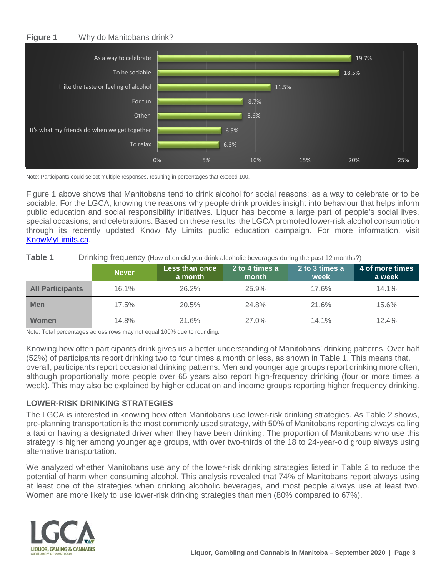#### **Figure 1** Why do Manitobans drink?



Note: Participants could select multiple responses, resulting in percentages that exceed 100.

Figure 1 above shows that Manitobans tend to drink alcohol for social reasons: as a way to celebrate or to be sociable. For the LGCA, knowing the reasons why people drink provides insight into behaviour that helps inform public education and social responsibility initiatives. Liquor has become a large part of people's social lives, special occasions, and celebrations. Based on these results, the LGCA promoted lower-risk alcohol consumption through its recently updated Know My Limits public education campaign. For more information, visit [KnowMyLimits.ca.](http://www.knowmylimits.ca/)

| Table 1 | Drinking frequency (How often did you drink alcoholic beverages during the past 12 months?) |  |  |  |  |  |
|---------|---------------------------------------------------------------------------------------------|--|--|--|--|--|
|---------|---------------------------------------------------------------------------------------------|--|--|--|--|--|

|                         | <b>Never</b> | <b>Less than once</b><br>a month | 2 to 4 times a<br>month | 2 to 3 times a<br>week | 4 of more times<br>a week |
|-------------------------|--------------|----------------------------------|-------------------------|------------------------|---------------------------|
| <b>All Participants</b> | 16.1%        | $26.2\%$                         | 25.9%                   | 17.6%                  | 14.1%                     |
| <b>Men</b>              | 17.5%        | 20.5%                            | 24.8%                   | 21.6%                  | 15.6%                     |
| Women                   | 14.8%        | 31.6%                            | 27.0%                   | 14.1%                  | 12.4%                     |

Note: Total percentages across rows may not equal 100% due to rounding.

Knowing how often participants drink gives us a better understanding of Manitobans' drinking patterns. Over half (52%) of participants report drinking two to four times a month or less, as shown in Table 1. This means that, overall, participants report occasional drinking patterns. Men and younger age groups report drinking more often, although proportionally more people over 65 years also report high-frequency drinking (four or more times a week). This may also be explained by higher education and income groups reporting higher frequency drinking.

#### **LOWER-RISK DRINKING STRATEGIES**

The LGCA is interested in knowing how often Manitobans use lower-risk drinking strategies. As Table 2 shows, pre-planning transportation is the most commonly used strategy, with 50% of Manitobans reporting always calling a taxi or having a designated driver when they have been drinking. The proportion of Manitobans who use this strategy is higher among younger age groups, with over two-thirds of the 18 to 24-year-old group always using alternative transportation.

We analyzed whether Manitobans use any of the lower-risk drinking strategies listed in Table 2 to reduce the potential of harm when consuming alcohol. This analysis revealed that 74% of Manitobans report always using at least one of the strategies when drinking alcoholic beverages, and most people always use at least two. Women are more likely to use lower-risk drinking strategies than men (80% compared to 67%).

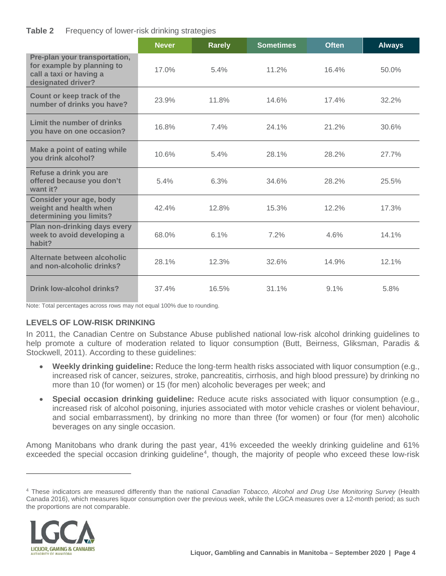#### **Table 2** Frequency of lower-risk drinking strategies

|                                                                                                              | <b>Never</b> | <b>Rarely</b> | <b>Sometimes</b> | <b>Often</b> | <b>Always</b> |
|--------------------------------------------------------------------------------------------------------------|--------------|---------------|------------------|--------------|---------------|
| Pre-plan your transportation,<br>for example by planning to<br>call a taxi or having a<br>designated driver? | 17.0%        | 5.4%          | 11.2%            | 16.4%        | 50.0%         |
| Count or keep track of the<br>number of drinks you have?                                                     | 23.9%        | 11.8%         | 14.6%            | 17.4%        | 32.2%         |
| Limit the number of drinks<br>you have on one occasion?                                                      | 16.8%        | $7.4\%$       | 24.1%            | 21.2%        | 30.6%         |
| Make a point of eating while<br>you drink alcohol?                                                           | 10.6%        | 5.4%          | 28.1%            | 28.2%        | 27.7%         |
| Refuse a drink you are<br>offered because you don't<br>want it?                                              | 5.4%         | 6.3%          | 34.6%            | 28.2%        | 25.5%         |
| Consider your age, body<br>weight and health when<br>determining you limits?                                 | 42.4%        | 12.8%         | 15.3%            | 12.2%        | 17.3%         |
| Plan non-drinking days every<br>week to avoid developing a<br>habit?                                         | 68.0%        | 6.1%          | 7.2%             | 4.6%         | 14.1%         |
| Alternate between alcoholic<br>and non-alcoholic drinks?                                                     | 28.1%        | 12.3%         | 32.6%            | 14.9%        | 12.1%         |
| Drink low-alcohol drinks?                                                                                    | 37.4%        | 16.5%         | 31.1%            | 9.1%         | 5.8%          |

Note: Total percentages across rows may not equal 100% due to rounding.

### **LEVELS OF LOW-RISK DRINKING**

In 2011, the Canadian Centre on Substance Abuse published national low-risk alcohol drinking guidelines to help promote a culture of moderation related to liquor consumption (Butt, Beirness, Gliksman, Paradis & Stockwell, 2011). According to these guidelines:

- **Weekly drinking guideline:** Reduce the long-term health risks associated with liquor consumption (e.g., increased risk of cancer, seizures, stroke, pancreatitis, cirrhosis, and high blood pressure) by drinking no more than 10 (for women) or 15 (for men) alcoholic beverages per week; and
- **Special occasion drinking guideline:** Reduce acute risks associated with liquor consumption (e.g., increased risk of alcohol poisoning, injuries associated with motor vehicle crashes or violent behaviour, and social embarrassment), by drinking no more than three (for women) or four (for men) alcoholic beverages on any single occasion.

Among Manitobans who drank during the past year, 41% exceeded the weekly drinking guideline and 61% exceeded the special occasion drinking guideline<sup>[4](#page-4-0)</sup>, though, the majority of people who exceed these low-risk

<span id="page-4-0"></span><sup>4</sup> These indicators are measured differently than the national *Canadian Tobacco, Alcohol and Drug Use Monitoring Survey* (Health Canada 2016), which measures liquor consumption over the previous week, while the LGCA measures over a 12-month period; as such the proportions are not comparable.

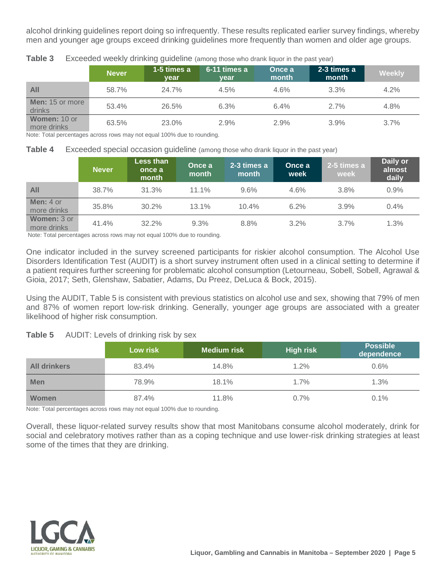alcohol drinking guidelines report doing so infrequently. These results replicated earlier survey findings, whereby men and younger age groups exceed drinking guidelines more frequently than women and older age groups.

|                             | <b>Never</b> | 1-5 times a<br><b>vear</b> | 6-11 times a<br>vear | Once a<br>month | 2-3 times a<br>month | <b>Weekly</b> |
|-----------------------------|--------------|----------------------------|----------------------|-----------------|----------------------|---------------|
| All                         | 58.7%        | 24.7%                      | 4.5%                 | 4.6%            | 3.3%                 | 4.2%          |
| Men: 15 or more<br>drinks   | 53.4%        | 26.5%                      | 6.3%                 | 6.4%            | 2.7%                 | 4.8%          |
| Women: 10 or<br>more drinks | 63.5%        | 23.0%                      | 2.9%                 | 2.9%            | 3.9%                 | 3.7%          |

**Table 3** Exceeded weekly drinking quideline (among those who drank liquor in the past year)

Note: Total percentages across rows may not equal 100% due to rounding.

**Table 4** Exceeded special occasion quideline (among those who drank liquor in the past year)

|                                   | <b>Never</b> | <b>Less than</b><br>once a<br>month | Once a<br>month | 2-3 times a<br>month | Once a<br>week | 2-5 times a<br>week | Daily or<br>almost<br>daily |
|-----------------------------------|--------------|-------------------------------------|-----------------|----------------------|----------------|---------------------|-----------------------------|
| <b>All</b>                        | 38.7%        | 31.3%                               | $11.1\%$        | 9.6%                 | 4.6%           | 3.8%                | 0.9%                        |
| <b>Men:</b> $4$ or<br>more drinks | 35.8%        | 30.2%                               | 13.1%           | 10.4%                | 6.2%           | 3.9%                | $0.4\%$                     |
| <b>Women: 3 or</b><br>more drinks | 41.4%        | 32.2%                               | 9.3%            | 8.8%                 | $3.2\%$        | $3.7\%$             | 1.3%                        |

Note: Total percentages across rows may not equal 100% due to rounding.

One indicator included in the survey screened participants for riskier alcohol consumption. The Alcohol Use Disorders Identification Test (AUDIT) is a short survey instrument often used in a clinical setting to determine if a patient requires further screening for problematic alcohol consumption (Letourneau, Sobell, Sobell, Agrawal & Gioia, 2017; Seth, Glenshaw, Sabatier, Adams, Du Preez, DeLuca & Bock, 2015).

Using the AUDIT, Table 5 is consistent with previous statistics on alcohol use and sex, showing that 79% of men and 87% of women report low-risk drinking. Generally, younger age groups are associated with a greater likelihood of higher risk consumption.

#### **Table 5** AUDIT: Levels of drinking risk by sex

|                     | Low risk | <b>Medium risk</b> | <b>High risk</b> | <b>Possible</b><br>dependence |
|---------------------|----------|--------------------|------------------|-------------------------------|
| <b>All drinkers</b> | 83.4%    | 14.8%              | 1.2%             | 0.6%                          |
| <b>Men</b>          | 78.9%    | 18.1%              | 1.7%             | 1.3%                          |
| Women               | 87.4%    | 11.8%              | $0.7\%$          | 0.1%                          |

Note: Total percentages across rows may not equal 100% due to rounding.

Overall, these liquor-related survey results show that most Manitobans consume alcohol moderately, drink for social and celebratory motives rather than as a coping technique and use lower-risk drinking strategies at least some of the times that they are drinking.

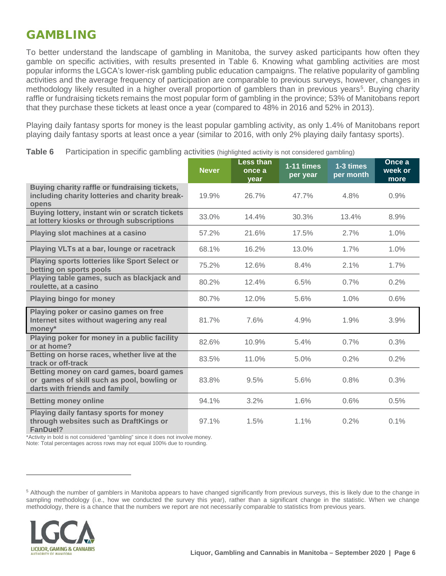# GAMBLING

To better understand the landscape of gambling in Manitoba, the survey asked participants how often they gamble on specific activities, with results presented in Table 6. Knowing what gambling activities are most popular informs the LGCA's lower-risk gambling public education campaigns. The relative popularity of gambling activities and the average frequency of participation are comparable to previous surveys, however, changes in methodology likely resulted in a higher overall proportion of gamblers than in previous years<sup>[5](#page-6-0)</sup>. Buying charity raffle or fundraising tickets remains the most popular form of gambling in the province; 53% of Manitobans report that they purchase these tickets at least once a year (compared to 48% in 2016 and 52% in 2013).

Playing daily fantasy sports for money is the least popular gambling activity, as only 1.4% of Manitobans report playing daily fantasy sports at least once a year (similar to 2016, with only 2% playing daily fantasy sports).

|                                                                                                                         | <b>Never</b> | <b>Less than</b><br>once a<br>year | $1-11$ times<br>per year | 1-3 times<br>per month | Once a<br>week or<br>more |
|-------------------------------------------------------------------------------------------------------------------------|--------------|------------------------------------|--------------------------|------------------------|---------------------------|
| Buying charity raffle or fundraising tickets,<br>including charity lotteries and charity break-<br>opens                | 19.9%        | 26.7%                              | 47.7%                    | 4.8%                   | 0.9%                      |
| Buying lottery, instant win or scratch tickets<br>at lottery kiosks or through subscriptions                            | 33.0%        | 14.4%                              | 30.3%                    | 13.4%                  | 8.9%                      |
| Playing slot machines at a casino                                                                                       | 57.2%        | 21.6%                              | 17.5%                    | 2.7%                   | 1.0%                      |
| Playing VLTs at a bar, lounge or racetrack                                                                              | 68.1%        | 16.2%                              | 13.0%                    | 1.7%                   | 1.0%                      |
| Playing sports lotteries like Sport Select or<br>betting on sports pools                                                | 75.2%        | 12.6%                              | 8.4%                     | 2.1%                   | 1.7%                      |
| Playing table games, such as blackjack and<br>roulette, at a casino                                                     | 80.2%        | 12.4%                              | 6.5%                     | 0.7%                   | 0.2%                      |
| <b>Playing bingo for money</b>                                                                                          | 80.7%        | 12.0%                              | 5.6%                     | 1.0%                   | 0.6%                      |
| Playing poker or casino games on free<br>Internet sites without wagering any real<br>money*                             | 81.7%        | 7.6%                               | 4.9%                     | 1.9%                   | 3.9%                      |
| Playing poker for money in a public facility<br>or at home?                                                             | 82.6%        | 10.9%                              | 5.4%                     | 0.7%                   | 0.3%                      |
| Betting on horse races, whether live at the<br>track or off-track                                                       | 83.5%        | 11.0%                              | 5.0%                     | 0.2%                   | 0.2%                      |
| Betting money on card games, board games<br>or games of skill such as pool, bowling or<br>darts with friends and family | 83.8%        | 9.5%                               | 5.6%                     | 0.8%                   | 0.3%                      |
| <b>Betting money online</b>                                                                                             | 94.1%        | 3.2%                               | 1.6%                     | 0.6%                   | 0.5%                      |
| Playing daily fantasy sports for money<br>through websites such as DraftKings or<br>FanDuel?                            | 97.1%        | 1.5%                               | $1.1\%$                  | 0.2%                   | 0.1%                      |

**Table 6** Participation in specific gambling activities (highlighted activity is not considered gambling)

\*Activity in bold is not considered "gambling" since it does not involve money.

Note: Total percentages across rows may not equal 100% due to rounding.

<span id="page-6-0"></span><sup>5</sup> Although the number of gamblers in Manitoba appears to have changed significantly from previous surveys, this is likely due to the change in sampling methodology (i.e., how we conducted the survey this year), rather than a significant change in the statistic. When we change methodology, there is a chance that the numbers we report are not necessarily comparable to statistics from previous years.

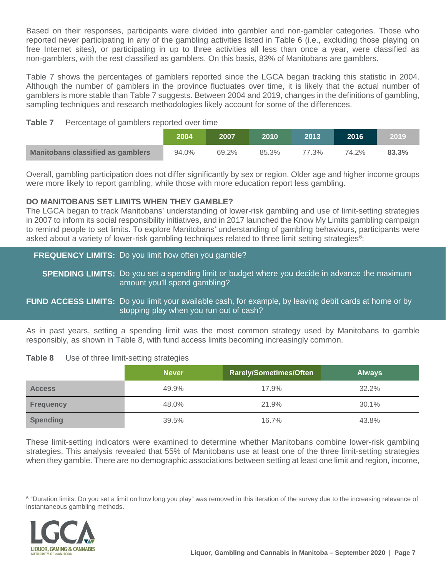Based on their responses, participants were divided into gambler and non-gambler categories. Those who reported never participating in any of the gambling activities listed in Table 6 (i.e., excluding those playing on free Internet sites), or participating in up to three activities all less than once a year, were classified as non-gamblers, with the rest classified as gamblers. On this basis, 83% of Manitobans are gamblers.

Table 7 shows the percentages of gamblers reported since the LGCA began tracking this statistic in 2004. Although the number of gamblers in the province fluctuates over time, it is likely that the actual number of gamblers is more stable than Table 7 suggests. Between 2004 and 2019, changes in the definitions of gambling, sampling techniques and research methodologies likely account for some of the differences.

#### **Table 7** Percentage of gamblers reported over time

|                                          | 2004  | 2007  | 2010  | 2013  | 2016  | 2019  |
|------------------------------------------|-------|-------|-------|-------|-------|-------|
| <b>Manitobans classified as gamblers</b> | 94.0% | 69.2% | 85.3% | 77.3% | 74.2% | 83.3% |

Overall, gambling participation does not differ significantly by sex or region. Older age and higher income groups were more likely to report gambling, while those with more education report less gambling.

#### **DO MANITOBANS SET LIMITS WHEN THEY GAMBLE?**

The LGCA began to track Manitobans' understanding of lower-risk gambling and use of limit-setting strategies in 2007 to inform its social responsibility initiatives, and in 2017 launched the Know My Limits gambling campaign to remind people to set limits. To explore Manitobans' understanding of gambling behaviours, participants were asked about a variety of lower-risk gambling techniques related to three limit setting strategies $^6$  $^6$ :

### **FREQUENCY LIMITS:** Do you limit how often you gamble?

**SPENDING LIMITS:** Do you set a spending limit or budget where you decide in advance the maximum amount you'll spend gambling?

#### **FUND ACCESS LIMITS:** Do you limit your available cash, for example, by leaving debit cards at home or by stopping play when you run out of cash?

As in past years, setting a spending limit was the most common strategy used by Manitobans to gamble responsibly, as shown in Table 8, with fund access limits becoming increasingly common.

#### **Table 8** Use of three limit-setting strategies

|                  | Never/ | <b>Rarely/Sometimes/Often</b> | <b>Always</b> |
|------------------|--------|-------------------------------|---------------|
| <b>Access</b>    | 49.9%  | 17.9%                         | 32.2%         |
| <b>Frequency</b> | 48.0%  | 21.9%                         | 30.1%         |
| <b>Spending</b>  | 39.5%  | 16.7%                         | 43.8%         |

These limit-setting indicators were examined to determine whether Manitobans combine lower-risk gambling strategies. This analysis revealed that 55% of Manitobans use at least one of the three limit-setting strategies when they gamble. There are no demographic associations between setting at least one limit and region, income,

<span id="page-7-0"></span><sup>&</sup>lt;sup>6</sup> "Duration limits: Do you set a limit on how long you play" was removed in this iteration of the survey due to the increasing relevance of instantaneous gambling methods.

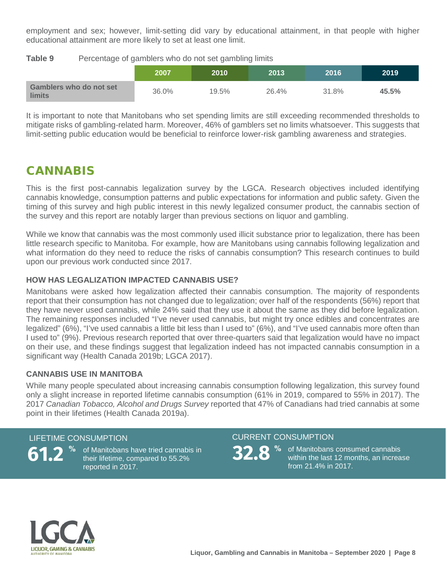employment and sex; however, limit-setting did vary by educational attainment, in that people with higher educational attainment are more likely to set at least one limit.

**Table 9** Percentage of gamblers who do not set gambling limits

|                                          | 2007  | 2010  | 2013  | 2016  | 2019  |
|------------------------------------------|-------|-------|-------|-------|-------|
| Gamblers who do not set<br><b>limits</b> | 36.0% | 19.5% | 26.4% | 31.8% | 45.5% |

It is important to note that Manitobans who set spending limits are still exceeding recommended thresholds to mitigate risks of gambling-related harm. Moreover, 46% of gamblers set no limits whatsoever. This suggests that limit-setting public education would be beneficial to reinforce lower-risk gambling awareness and strategies.

# CANNABIS

This is the first post-cannabis legalization survey by the LGCA. Research objectives included identifying cannabis knowledge, consumption patterns and public expectations for information and public safety. Given the timing of this survey and high public interest in this newly legalized consumer product, the cannabis section of the survey and this report are notably larger than previous sections on liquor and gambling.

While we know that cannabis was the most commonly used illicit substance prior to legalization, there has been little research specific to Manitoba. For example, how are Manitobans using cannabis following legalization and what information do they need to reduce the risks of cannabis consumption? This research continues to build upon our previous work conducted since 2017.

#### **HOW HAS LEGALIZATION IMPACTED CANNABIS USE?**

Manitobans were asked how legalization affected their cannabis consumption. The majority of respondents report that their consumption has not changed due to legalization; over half of the respondents (56%) report that they have never used cannabis, while 24% said that they use it about the same as they did before legalization. The remaining responses included "I've never used cannabis, but might try once edibles and concentrates are legalized" (6%), "I've used cannabis a little bit less than I used to" (6%), and "I've used cannabis more often than I used to" (9%). Previous research reported that over three-quarters said that legalization would have no impact on their use, and these findings suggest that legalization indeed has not impacted cannabis consumption in a significant way (Health Canada 2019b; LGCA 2017).

#### **CANNABIS USE IN MANITOBA**

While many people speculated about increasing cannabis consumption following legalization, this survey found only a slight increase in reported lifetime cannabis consumption (61% in 2019, compared to 55% in 2017). The 2017 *Canadian Tobacco, Alcohol and Drugs Survey* reported that 47% of Canadians had tried cannabis at some point in their lifetimes (Health Canada 2019a).

#### LIFETIME CONSUMPTION CURRENT CONSUMPTION



**61.2 32.8 %** of Manitobans have tried cannabis in **%** their lifetime, compared to 55.2% reported in 2017.



% of Manitobans consumed cannabis within the last 12 months, an increase from 21.4% in 2017.

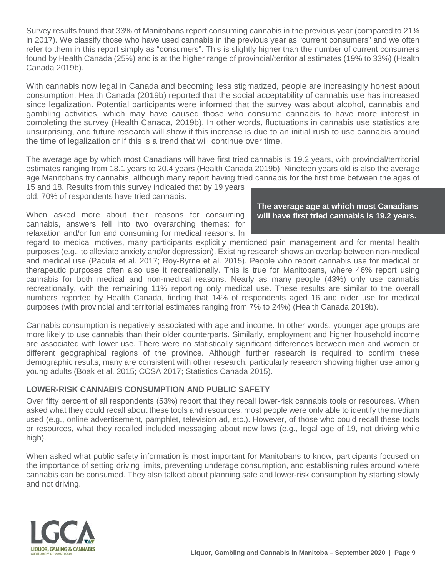Survey results found that 33% of Manitobans report consuming cannabis in the previous year (compared to 21% in 2017). We classify those who have used cannabis in the previous year as "current consumers" and we often refer to them in this report simply as "consumers". This is slightly higher than the number of current consumers found by Health Canada (25%) and is at the higher range of provincial/territorial estimates (19% to 33%) (Health Canada 2019b).

With cannabis now legal in Canada and becoming less stigmatized, people are increasingly honest about consumption. Health Canada (2019b) reported that the social acceptability of cannabis use has increased since legalization. Potential participants were informed that the survey was about alcohol, cannabis and gambling activities, which may have caused those who consume cannabis to have more interest in completing the survey (Health Canada, 2019b). In other words, fluctuations in cannabis use statistics are unsurprising, and future research will show if this increase is due to an initial rush to use cannabis around the time of legalization or if this is a trend that will continue over time.

The average age by which most Canadians will have first tried cannabis is 19.2 years, with provincial/territorial estimates ranging from 18.1 years to 20.4 years (Health Canada 2019b). Nineteen years old is also the average age Manitobans try cannabis, although many report having tried cannabis for the first time between the ages of

15 and 18. Results from this survey indicated that by 19 years old, 70% of respondents have tried cannabis.

When asked more about their reasons for consuming cannabis, answers fell into two overarching themes: for relaxation and/or fun and consuming for medical reasons. In

#### **The average age at which most Canadians will have first tried cannabis is 19.2 years.**

regard to medical motives, many participants explicitly mentioned pain management and for mental health purposes (e.g., to alleviate anxiety and/or depression). Existing research shows an overlap between non-medical and medical use (Pacula et al. 2017; Roy‐Byrne et al. 2015). People who report cannabis use for medical or therapeutic purposes often also use it recreationally. This is true for Manitobans, where 46% report using cannabis for both medical and non-medical reasons. Nearly as many people (43%) only use cannabis recreationally, with the remaining 11% reporting only medical use. These results are similar to the overall numbers reported by Health Canada, finding that 14% of respondents aged 16 and older use for medical purposes (with provincial and territorial estimates ranging from 7% to 24%) (Health Canada 2019b).

Cannabis consumption is negatively associated with age and income. In other words, younger age groups are more likely to use cannabis than their older counterparts. Similarly, employment and higher household income are associated with lower use. There were no statistically significant differences between men and women or different geographical regions of the province. Although further research is required to confirm these demographic results, many are consistent with other research, particularly research showing higher use among young adults (Boak et al. 2015; CCSA 2017; Statistics Canada 2015).

#### **LOWER-RISK CANNABIS CONSUMPTION AND PUBLIC SAFETY**

Over fifty percent of all respondents (53%) report that they recall lower-risk cannabis tools or resources. When asked what they could recall about these tools and resources, most people were only able to identify the medium used (e.g., online advertisement, pamphlet, television ad, etc.). However, of those who could recall these tools or resources, what they recalled included messaging about new laws (e.g., legal age of 19, not driving while high).

When asked what public safety information is most important for Manitobans to know, participants focused on the importance of setting driving limits, preventing underage consumption, and establishing rules around where cannabis can be consumed. They also talked about planning safe and lower-risk consumption by starting slowly and not driving.

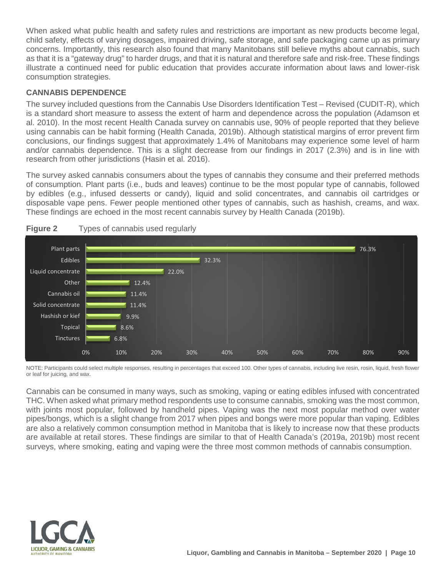When asked what public health and safety rules and restrictions are important as new products become legal, child safety, effects of varying dosages, impaired driving, safe storage, and safe packaging came up as primary concerns. Importantly, this research also found that many Manitobans still believe myths about cannabis, such as that it is a "gateway drug" to harder drugs, and that it is natural and therefore safe and risk-free. These findings illustrate a continued need for public education that provides accurate information about laws and lower-risk consumption strategies.

#### **CANNABIS DEPENDENCE**

The survey included questions from the Cannabis Use Disorders Identification Test – Revised (CUDIT-R), which is a standard short measure to assess the extent of harm and dependence across the population (Adamson et al. 2010). In the most recent Health Canada survey on cannabis use, 90% of people reported that they believe using cannabis can be habit forming (Health Canada, 2019b). Although statistical margins of error prevent firm conclusions, our findings suggest that approximately 1.4% of Manitobans may experience some level of harm and/or cannabis dependence. This is a slight decrease from our findings in 2017 (2.3%) and is in line with research from other jurisdictions (Hasin et al. 2016).

The survey asked cannabis consumers about the types of cannabis they consume and their preferred methods of consumption. Plant parts (i.e., buds and leaves) continue to be the most popular type of cannabis, followed by edibles (e.g., infused desserts or candy), liquid and solid concentrates, and cannabis oil cartridges or disposable vape pens. Fewer people mentioned other types of cannabis, such as hashish, creams, and wax. These findings are echoed in the most recent cannabis survey by Health Canada (2019b).



#### **Figure 2** Types of cannabis used regularly

NOTE: Participants could select multiple responses, resulting in percentages that exceed 100. Other types of cannabis, including live resin, rosin, liquid, fresh flower or leaf for juicing, and wax.

Cannabis can be consumed in many ways, such as smoking, vaping or eating edibles infused with concentrated THC. When asked what primary method respondents use to consume cannabis, smoking was the most common, with joints most popular, followed by handheld pipes. Vaping was the next most popular method over water pipes/bongs, which is a slight change from 2017 when pipes and bongs were more popular than vaping. Edibles are also a relatively common consumption method in Manitoba that is likely to increase now that these products are available at retail stores. These findings are similar to that of Health Canada's (2019a, 2019b) most recent surveys, where smoking, eating and vaping were the three most common methods of cannabis consumption.

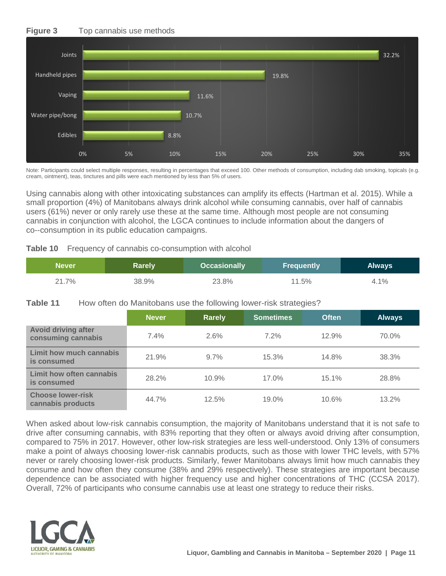#### **Figure 3** Top cannabis use methods



Note: Participants could select multiple responses, resulting in percentages that exceed 100. Other methods of consumption, including dab smoking, topicals (e.g. cream, ointment), teas, tinctures and pills were each mentioned by less than 5% of users.

Using cannabis along with other intoxicating substances can amplify its effects (Hartman et al. 2015). While a small proportion (4%) of Manitobans always drink alcohol while consuming cannabis, over half of cannabis users (61%) never or only rarely use these at the same time. Although most people are not consuming cannabis in conjunction with alcohol, the LGCA continues to include information about the dangers of co--consumption in its public education campaigns.

|  |  |  | Table 10 Frequency of cannabis co-consumption with alcohol |  |
|--|--|--|------------------------------------------------------------|--|
|--|--|--|------------------------------------------------------------|--|

| <b>Never</b> | Rarely | <b>Occasionally</b> | <b>Frequently</b> | <b>Always</b> |
|--------------|--------|---------------------|-------------------|---------------|
| 21.7%        | 38.9%  | 23.8%               | 11.5%             | 4.1%          |

#### **Table 11** How often do Manitobans use the following lower-risk strategies?

|                                                  | <b>Never</b> | <b>Rarely</b> | <b>Sometimes</b> | <b>Often</b> | <b>Always</b> |
|--------------------------------------------------|--------------|---------------|------------------|--------------|---------------|
| <b>Avoid driving after</b><br>consuming cannabis | $7.4\%$      | 2.6%          | $7.2\%$          | 12.9%        | 70.0%         |
| Limit how much cannabis<br>is consumed           | 21.9%        | $9.7\%$       | 15.3%            | 14.8%        | 38.3%         |
| Limit how often cannabis<br>is consumed          | 28.2%        | 10.9%         | 17.0%            | 15.1%        | 28.8%         |
| <b>Choose lower-risk</b><br>cannabis products    | 44.7%        | 12.5%         | 19.0%            | 10.6%        | 13.2%         |

When asked about low-risk cannabis consumption, the majority of Manitobans understand that it is not safe to drive after consuming cannabis, with 83% reporting that they often or always avoid driving after consumption, compared to 75% in 2017. However, other low-risk strategies are less well-understood. Only 13% of consumers make a point of always choosing lower-risk cannabis products, such as those with lower THC levels, with 57% never or rarely choosing lower-risk products. Similarly, fewer Manitobans always limit how much cannabis they consume and how often they consume (38% and 29% respectively). These strategies are important because dependence can be associated with higher frequency use and higher concentrations of THC (CCSA 2017). Overall, 72% of participants who consume cannabis use at least one strategy to reduce their risks.

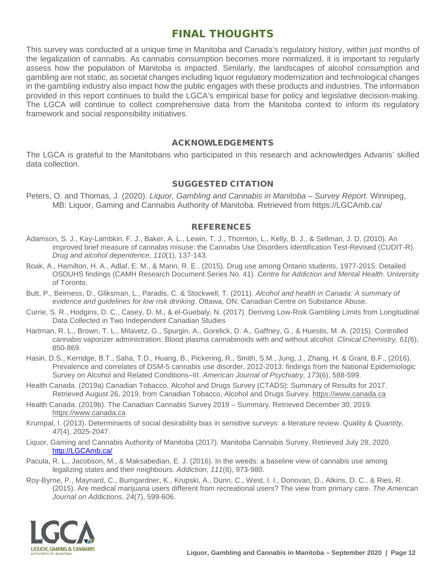# FINAL THOUGHTS

This survey was conducted at a unique time in Manitoba and Canada's regulatory history, within just months of the legalization of cannabis. As cannabis consumption becomes more normalized, it is important to regularly assess how the population of Manitoba is impacted. Similarly, the landscapes of alcohol consumption and gambling are not static, as societal changes including liquor regulatory modernization and technological changes in the gambling industry also impact how the public engages with these products and industries. The information provided in this report continues to build the LGCA's empirical base for policy and legislative decision-making. The LGCA will continue to collect comprehensive data from the Manitoba context to inform its regulatory framework and social responsibility initiatives.

#### ACKNOWLEDGEMENTS

The LGCA is grateful to the Manitobans who participated in this research and acknowledges Advanis' skilled data collection.

#### SUGGESTED CITATION

Peters, O. and Thomas, J. (2020). *Liquor, Gambling and Cannabis in Manitoba – Survey Report.* Winnipeg, MB: Liquor, Gaming and Cannabis Authority of Manitoba. Retrieved from https://LGCAmb.ca/

#### **REFERENCES**

- Adamson, S. J., Kay-Lambkin, F. J., Baker, A. L., Lewin, T. J., Thornton, L., Kelly, B. J., & Sellman, J. D. (2010). An improved brief measure of cannabis misuse: the Cannabis Use Disorders Identification Test-Revised (CUDIT-R). *Drug and alcohol dependence, 110*(1), 137-143.
- Boak, A., Hamilton, H. A., Adlaf, E. M., & Mann, R. E., (2015). Drug use among Ontario students, 1977-2015: Detailed OSDUHS findings (CAMH Research Document Series No. 41). *Centre for Addiction and Mental Health*. University of Toronto.
- Butt, P., Beirness, D., Gliksman, L., Paradis, C. & Stockwell, T. (2011). *Alcohol and health in Canada: A summary of evidence and guidelines for low risk drinking.* Ottawa, ON: Canadian Centre on Substance Abuse.
- Currie, S. R., Hodgins, D. C., Casey, D. M., & el-Guebaly, N. (2017). Deriving Low-Risk Gambling Limits from Longitudinal Data Collected in Two Independent Canadian Studies
- Hartman, R. L., Brown, T. L., Milavetz, G., Spurgin, A., Gorelick, D. A., Gaffney, G., & Huestis, M. A. (2015). Controlled cannabis vaporizer administration: Blood plasma cannabinoids with and without alcohol. *Clinical Chemistry, 61(*6), 850-869.
- Hasin, D.S., Kerridge, B.T., Saha, T.D., Huang, B., Pickering, R., Smith, S.M., Jung, J., Zhang, H. & Grant, B.F., (2016). Prevalence and correlates of DSM-5 cannabis use disorder, 2012-2013: findings from the National Epidemiologic Survey on Alcohol and Related Conditions–III. *American Journal of Psychiatry, 173*(6), 588-599.
- Health Canada. (2019a) Canadian Tobacco, Alcohol and Drugs Survey (CTADS): Summary of Results for 2017. Retrieved August 26, 2019, from Canadian Tobacco, Alcohol and Drugs Survey. [https://www.canada.ca](https://www.canada.ca/en/health-canada/services/canadian-tobacco-alcohol-drugs-survey/2017-summary.html#n4)
- Health Canada. (2019b). The Canadian Cannabis Survey 2019 Summary. Retrieved December 30, 2019. [https://www.canada.ca](https://www.canada.ca/en/health-canada/services/canadian-tobacco-alcohol-drugs-survey/2017-summary.html#n4)
- Krumpal, I. (2013). Determinants of social desirability bias in sensitive surveys: a literature review. Quality & *Quantity, 47*(4), 2025-2047.
- Liquor, Gaming and Cannabis Authority of Manitoba (2017). Manitoba Cannabis Survey. Retrieved July 28, 2020. [http://LGCAmb.ca/](http://lgcamb.ca/)
- Pacula, R. L., Jacobson, M., & Maksabedian, E. J. (2016). In the weeds: a baseline view of cannabis use among legalizing states and their neighbours. *Addiction*, *111*(6), 973-980.
- Roy‐Byrne, P., Maynard, C., Bumgardner, K., Krupski, A., Dunn, C., West, I. I., Donovan, D., Atkins, D. C., & Ries, R. (2015). Are medical marijuana users different from recreational users? The view from primary care. *The American Journal on Addictions*, *24*(7), 599-606.

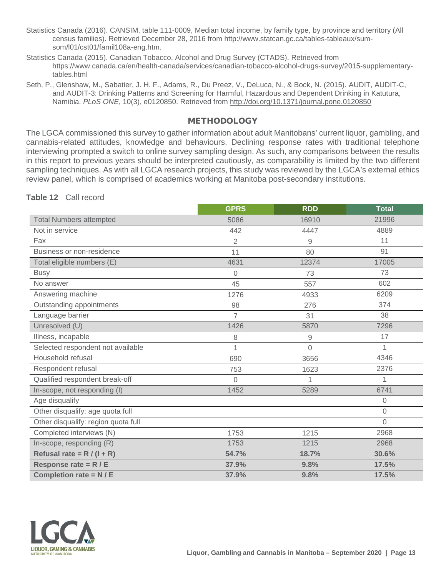- Statistics Canada (2016). CANSIM, table 111-0009, Median total income, by family type, by province and territory (All census families). Retrieved December 28, 2016 from http://www.statcan.gc.ca/tables-tableaux/sumsom/l01/cst01/famil108a-eng.htm.
- Statistics Canada (2015). Canadian Tobacco, Alcohol and Drug Survey (CTADS). Retrieved from https://www.canada.ca/en/health-canada/services/canadian-tobacco-alcohol-drugs-survey/2015-supplementarytables html
- Seth, P., Glenshaw, M., Sabatier, J. H. F., Adams, R., Du Preez, V., DeLuca, N., & Bock, N. (2015). AUDIT, AUDIT-C, and AUDIT-3: Drinking Patterns and Screening for Harmful, Hazardous and Dependent Drinking in Katutura, Namibia. *PLoS ONE*, 10(3), e0120850. Retrieved from<http://doi.org/10.1371/journal.pone.0120850>

#### **METHODOLOGY**

The LGCA commissioned this survey to gather information about adult Manitobans' current liquor, gambling, and cannabis-related attitudes, knowledge and behaviours. Declining response rates with traditional telephone interviewing prompted a switch to online survey sampling design. As such, any comparisons between the results in this report to previous years should be interpreted cautiously, as comparability is limited by the two different sampling techniques. As with all LGCA research projects, this study was reviewed by the LGCA's external ethics review panel, which is comprised of academics working at Manitoba post-secondary institutions.

**Table 12** Call record

|                                     | <b>GPRS</b>    | <b>RDD</b> | <b>Total</b> |
|-------------------------------------|----------------|------------|--------------|
| <b>Total Numbers attempted</b>      | 5086           | 16910      | 21996        |
| Not in service                      | 442            | 4447       | 4889         |
| Fax                                 | $\overline{2}$ | 9          | 11           |
| Business or non-residence           | 11             | 80         | 91           |
| Total eligible numbers (E)          | 4631           | 12374      | 17005        |
| <b>Busy</b>                         | 0              | 73         | 73           |
| No answer                           | 45             | 557        | 602          |
| Answering machine                   | 1276           | 4933       | 6209         |
| Outstanding appointments            | 98             | 276        | 374          |
| Language barrier                    | 7              | 31         | 38           |
| Unresolved (U)                      | 1426           | 5870       | 7296         |
| Illness, incapable                  | 8              | 9          | 17           |
| Selected respondent not available   | 1              | $\Omega$   | 1            |
| Household refusal                   | 690            | 3656       | 4346         |
| Respondent refusal                  | 753            | 1623       | 2376         |
| Qualified respondent break-off      | $\overline{0}$ | 1          | 1            |
| In-scope, not responding (I)        | 1452           | 5289       | 6741         |
| Age disqualify                      |                |            | $\Omega$     |
| Other disqualify: age quota full    |                |            | $\mathbf{0}$ |
| Other disqualify: region quota full |                |            | $\Omega$     |
| Completed interviews (N)            | 1753           | 1215       | 2968         |
| In-scope, responding (R)            | 1753           | 1215       | 2968         |
| Refusal rate = $R/(I + R)$          | 54.7%          | 18.7%      | 30.6%        |
| Response rate = $R / E$             | 37.9%          | 9.8%       | 17.5%        |
| Completion rate = $N / E$           | 37.9%          | 9.8%       | 17.5%        |

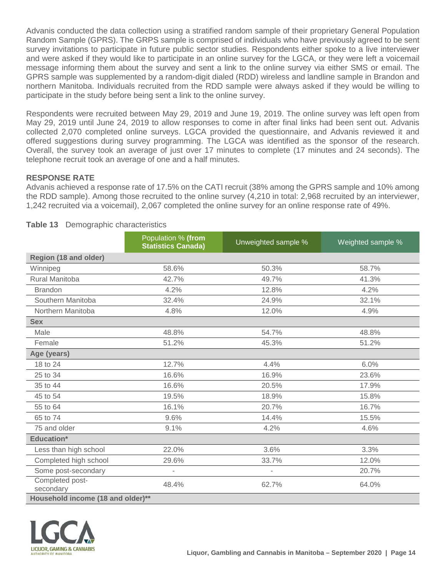Advanis conducted the data collection using a stratified random sample of their proprietary General Population Random Sample (GPRS). The GRPS sample is comprised of individuals who have previously agreed to be sent survey invitations to participate in future public sector studies. Respondents either spoke to a live interviewer and were asked if they would like to participate in an online survey for the LGCA, or they were left a voicemail message informing them about the survey and sent a link to the online survey via either SMS or email. The GPRS sample was supplemented by a random-digit dialed (RDD) wireless and landline sample in Brandon and northern Manitoba. Individuals recruited from the RDD sample were always asked if they would be willing to participate in the study before being sent a link to the online survey.

Respondents were recruited between May 29, 2019 and June 19, 2019. The online survey was left open from May 29, 2019 until June 24, 2019 to allow responses to come in after final links had been sent out. Advanis collected 2,070 completed online surveys. LGCA provided the questionnaire, and Advanis reviewed it and offered suggestions during survey programming. The LGCA was identified as the sponsor of the research. Overall, the survey took an average of just over 17 minutes to complete (17 minutes and 24 seconds). The telephone recruit took an average of one and a half minutes.

#### **RESPONSE RATE**

Advanis achieved a response rate of 17.5% on the CATI recruit (38% among the GPRS sample and 10% among the RDD sample). Among those recruited to the online survey (4,210 in total: 2,968 recruited by an interviewer, 1,242 recruited via a voicemail), 2,067 completed the online survey for an online response rate of 49%.

|                                   | Population % (from<br><b>Statistics Canada)</b> | Unweighted sample % | Weighted sample % |
|-----------------------------------|-------------------------------------------------|---------------------|-------------------|
| Region (18 and older)             |                                                 |                     |                   |
| Winnipeg                          | 58.6%                                           | 50.3%               | 58.7%             |
| Rural Manitoba                    | 42.7%                                           | 49.7%               | 41.3%             |
| <b>Brandon</b>                    | 4.2%                                            | 12.8%               | 4.2%              |
| Southern Manitoba                 | 32.4%                                           | 24.9%               | 32.1%             |
| Northern Manitoba                 | 4.8%                                            | 12.0%               | 4.9%              |
| <b>Sex</b>                        |                                                 |                     |                   |
| Male                              | 48.8%                                           | 54.7%               | 48.8%             |
| Female                            | 51.2%                                           | 45.3%               | 51.2%             |
| Age (years)                       |                                                 |                     |                   |
| 18 to 24                          | 12.7%                                           | 4.4%                | 6.0%              |
| 25 to 34                          | 16.6%                                           | 16.9%               | 23.6%             |
| 35 to 44                          | 16.6%                                           | 20.5%               | 17.9%             |
| 45 to 54                          | 19.5%                                           | 18.9%               | 15.8%             |
| 55 to 64                          | 16.1%                                           | 20.7%               | 16.7%             |
| 65 to 74                          | 9.6%                                            | 14.4%               | 15.5%             |
| 75 and older                      | 9.1%                                            | 4.2%                | 4.6%              |
| <b>Education*</b>                 |                                                 |                     |                   |
| Less than high school             | 22.0%                                           | 3.6%                | 3.3%              |
| Completed high school             | 29.6%                                           | 33.7%               | 12.0%             |
| Some post-secondary               | $\overline{\phantom{a}}$                        | L,                  | 20.7%             |
| Completed post-<br>secondary      | 48.4%                                           | 62.7%               | 64.0%             |
| Household income (18 and older)** |                                                 |                     |                   |

#### **Table 13** Demographic characteristics

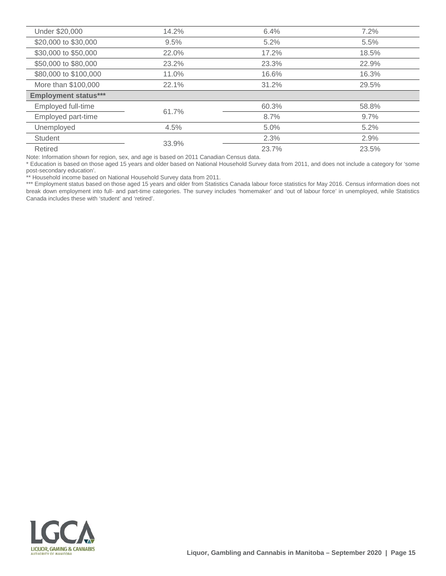| Under \$20,000              | 14.2% | 6.4%  | 7.2%  |
|-----------------------------|-------|-------|-------|
| \$20,000 to \$30,000        | 9.5%  | 5.2%  | 5.5%  |
| \$30,000 to \$50,000        | 22.0% | 17.2% | 18.5% |
| \$50,000 to \$80,000        | 23.2% | 23.3% | 22.9% |
| \$80,000 to \$100,000       | 11.0% | 16.6% | 16.3% |
| More than \$100,000         | 22.1% | 31.2% | 29.5% |
| <b>Employment status***</b> |       |       |       |
| Employed full-time          | 61.7% | 60.3% | 58.8% |
| Employed part-time          |       | 8.7%  | 9.7%  |
|                             |       |       |       |
| Unemployed                  | 4.5%  | 5.0%  | 5.2%  |
| <b>Student</b>              | 33.9% | 2.3%  | 2.9%  |

Note: Information shown for region, sex, and age is based on 2011 Canadian Census data.

\* Education is based on those aged 15 years and older based on National Household Survey data from 2011, and does not include a category for 'some post-secondary education'.

\*\* Household income based on National Household Survey data from 2011.

\*\*\* Employment status based on those aged 15 years and older from Statistics Canada labour force statistics for May 2016. Census information does not break down employment into full- and part-time categories. The survey includes 'homemaker' and 'out of labour force' in unemployed, while Statistics Canada includes these with 'student' and 'retired'.